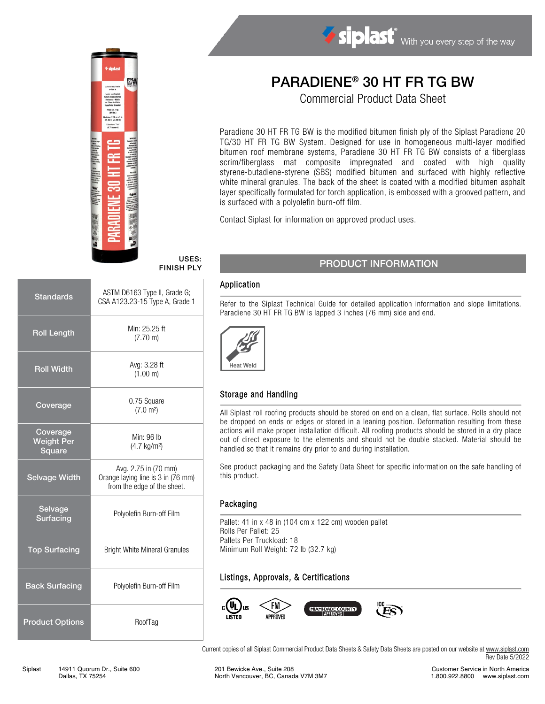

#### USES: FINISH PLY

| <b>Standards</b>                        | ASTM D6163 Type II, Grade G;<br>CSA A123.23-15 Type A, Grade 1                            |  |  |
|-----------------------------------------|-------------------------------------------------------------------------------------------|--|--|
| <b>Roll Length</b>                      | Min: 25.25 ft<br>$(7.70 \text{ m})$                                                       |  |  |
| <b>Roll Width</b>                       | Avg: 3.28 ft<br>(1.00 m)                                                                  |  |  |
| Coverage                                | 0.75 Square<br>(7.0 m <sup>2</sup> )                                                      |  |  |
| Coverage<br><b>Weight Per</b><br>Square | Min: 96 lb<br>$(4.7 \text{ kg/m}^2)$                                                      |  |  |
| <b>Selvage Width</b>                    | Avg. 2.75 in (70 mm)<br>Orange laying line is 3 in (76 mm)<br>from the edge of the sheet. |  |  |
| Selvage<br><b>Surfacing</b>             | Polyolefin Burn-off Film                                                                  |  |  |
| <b>Top Surfacing</b>                    | <b>Bright White Mineral Granules</b>                                                      |  |  |
| <b>Back Surfacing</b>                   | Polyolefin Burn-off Film                                                                  |  |  |
| <b>Product Options</b>                  | RoofTag                                                                                   |  |  |

# PARADIENE® 30 HT FR TG BW

Siplast With you every step of the way

Commercial Product Data Sheet

Paradiene 30 HT FR TG BW is the modified bitumen finish ply of the Siplast Paradiene 20 TG/30 HT FR TG BW System. Designed for use in homogeneous multi-layer modified bitumen roof membrane systems, Paradiene 30 HT FR TG BW consists of a fiberglass scrim/fiberglass mat composite impregnated and coated with high quality styrene-butadiene-styrene (SBS) modified bitumen and surfaced with highly reflective white mineral granules. The back of the sheet is coated with a modified bitumen asphalt layer specifically formulated for torch application, is embossed with a grooved pattern, and is surfaced with a polyolefin burn-off film.

Contact Siplast for information on approved product uses.

# PRODUCT INFORMATION

#### Application

Refer to the Siplast Technical Guide for detailed application information and slope limitations. Paradiene 30 HT FR TG BW is lapped 3 inches (76 mm) side and end.



### Storage and Handling

All Siplast roll roofing products should be stored on end on a clean, flat surface. Rolls should not be dropped on ends or edges or stored in a leaning position. Deformation resulting from these actions will make proper installation difficult. All roofing products should be stored in a dry place out of direct exposure to the elements and should not be double stacked. Material should be handled so that it remains dry prior to and during installation.

See product packaging and the Safety Data Sheet for specific information on the safe handling of this product.

#### Packaging

Pallet: 41 in x 48 in (104 cm x 122 cm) wooden pallet Rolls Per Pallet: 25 Pallets Per Truckload: 18 Minimum Roll Weight: 72 lb (32.7 kg)

# Listings, Approvals, & Certifications



Current copies of all Siplast Commercial Product Data Sheets & Safety Data Sheets are posted on our website a[t www.siplast.com](http://www.siplast.com/) Rev Date 5/2022